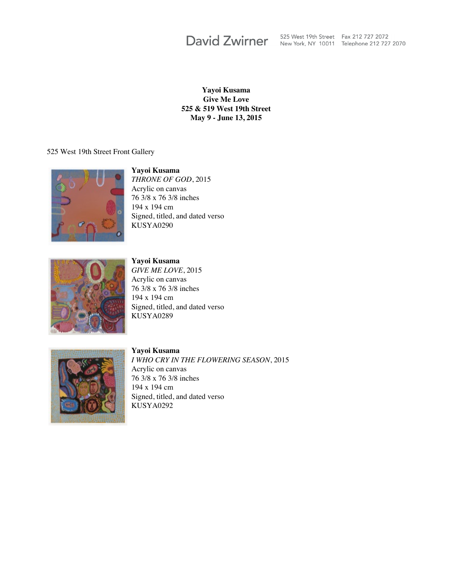**David Zwirner** 

525 West 19th Street Fax 212 727 2072 New York, NY 10011 Telephone 212 727 2070

**Yayoi Kusama Give Me Love 525 & 519 West 19th Street May 9 - June 13, 2015**

525 West 19th Street Front Gallery



**Yayoi Kusama** *THRONE OF GOD*, 2015 Acrylic on canvas 76 3/8 x 76 3/8 inches 194 x 194 cm Signed, titled, and dated verso KUSYA0290



**Yayoi Kusama** *GIVE ME LOVE*, 2015 Acrylic on canvas

76 3/8 x 76 3/8 inches 194 x 194 cm Signed, titled, and dated verso KUSYA0289



**Yayoi Kusama** *I WHO CRY IN THE FLOWERING SEASON*, 2015 Acrylic on canvas 76 3/8 x 76 3/8 inches 194 x 194 cm Signed, titled, and dated verso KUSYA0292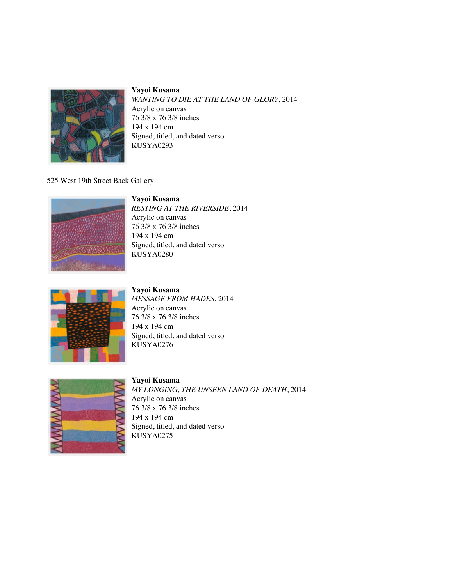

*WANTING TO DIE AT THE LAND OF GLORY*, 2014 Acrylic on canvas 76 3/8 x 76 3/8 inches 194 x 194 cm Signed, titled, and dated verso KUSYA0293

#### 525 West 19th Street Back Gallery

# **Yayoi Kusama**



*RESTING AT THE RIVERSIDE*, 2014 Acrylic on canvas 76 3/8 x 76 3/8 inches 194 x 194 cm Signed, titled, and dated verso KUSYA0280



#### **Yayoi Kusama** *MESSAGE FROM HADES*, 2014 Acrylic on canvas 76 3/8 x 76 3/8 inches 194 x 194 cm Signed, titled, and dated verso KUSYA0276



#### **Yayoi Kusama** *MY LONGING, THE UNSEEN LAND OF DEATH*, 2014 Acrylic on canvas 76 3/8 x 76 3/8 inches 194 x 194 cm Signed, titled, and dated verso KUSYA0275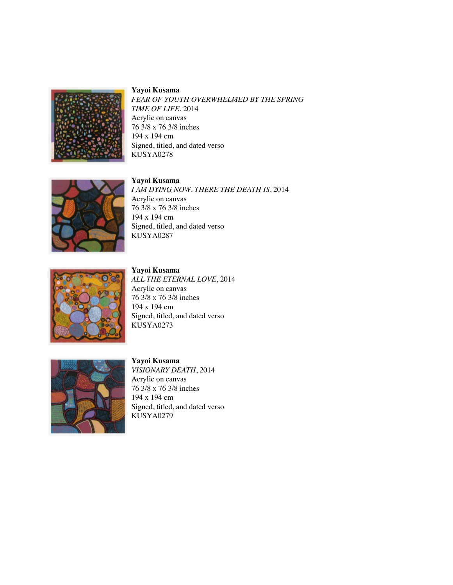

*FEAR OF YOUTH OVERWHELMED BY THE SPRING TIME OF LIFE*, 2014 Acrylic on canvas 76 3/8 x 76 3/8 inches 194 x 194 cm Signed, titled, and dated verso KUSYA0278

### **Yayoi Kusama**



*I AM DYING NOW. THERE THE DEATH IS*, 2014 Acrylic on canvas 76 3/8 x 76 3/8 inches 194 x 194 cm Signed, titled, and dated verso KUSYA0287



**Yayoi Kusama** *ALL THE ETERNAL LOVE*, 2014 Acrylic on canvas 76 3/8 x 76 3/8 inches 194 x 194 cm Signed, titled, and dated verso KUSYA0273



#### **Yayoi Kusama**

*VISIONARY DEATH*, 2014 Acrylic on canvas 76 3/8 x 76 3/8 inches 194 x 194 cm Signed, titled, and dated verso KUSYA0279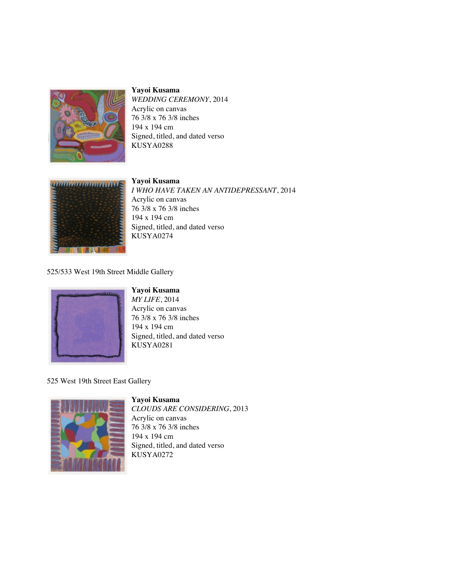

*WEDDING CEREMONY*, 2014 Acrylic on canvas 76 3/8 x 76 3/8 inches 194 x 194 cm Signed, titled, and dated verso KUSYA0288



**Yayoi Kusama** *I WHO HAVE TAKEN AN ANTIDEPRESSANT*, 2014 Acrylic on canvas 76 3/8 x 76 3/8 inches 194 x 194 cm Signed, titled, and dated verso KUSYA0274

525/533 West 19th Street Middle Gallery



**Yayoi Kusama**

*MY LIFE*, 2014 Acrylic on canvas 76 3/8 x 76 3/8 inches 194 x 194 cm Signed, titled, and dated verso KUSYA0281

525 West 19th Street East Gallery



**Yayoi Kusama** *CLOUDS ARE CONSIDERING*, 2013 Acrylic on canvas 76 3/8 x 76 3/8 inches 194 x 194 cm Signed, titled, and dated verso KUSYA0272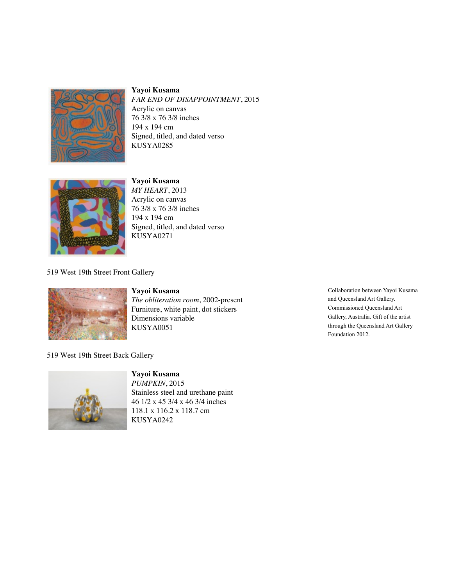

*FAR END OF DISAPPOINTMENT*, 2015 Acrylic on canvas 76 3/8 x 76 3/8 inches 194 x 194 cm Signed, titled, and dated verso KUSYA0285



**Yayoi Kusama** *MY HEART*, 2013 Acrylic on canvas 76 3/8 x 76 3/8 inches 194 x 194 cm Signed, titled, and dated verso KUSYA0271

## 519 West 19th Street Front Gallery



**Yayoi Kusama** *The obliteration room*, 2002-present Furniture, white paint, dot stickers Dimensions variable

KUSYA0051

Collaboration between Yayoi Kusama and Queensland Art Gallery. Commissioned Queensland Art Gallery, Australia. Gift of the artist through the Queensland Art Gallery Foundation 2012.

519 West 19th Street Back Gallery



**Yayoi Kusama** *PUMPKIN*, 2015 Stainless steel and urethane paint 46 1/2 x 45 3/4 x 46 3/4 inches 118.1 x 116.2 x 118.7 cm KUSYA0242